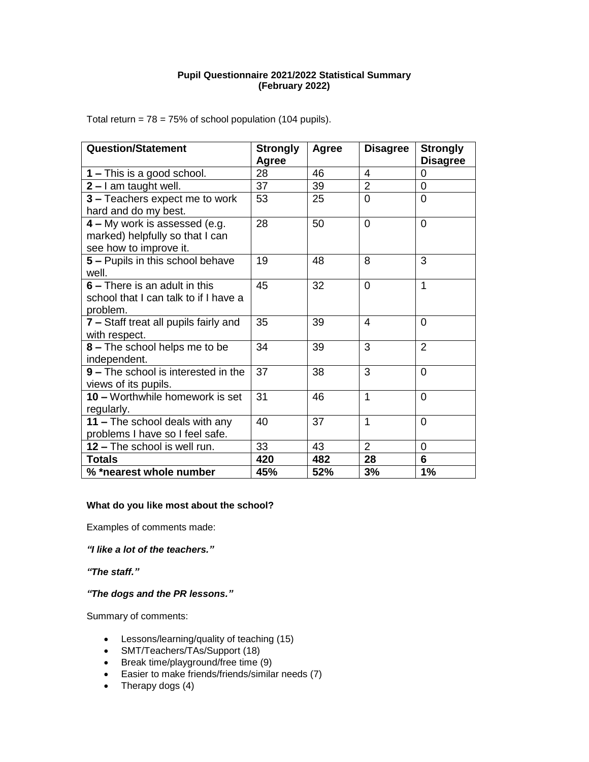# **Pupil Questionnaire 2021/2022 Statistical Summary (February 2022)**

Total return =  $78 = 75\%$  of school population (104 pupils).

| <b>Question/Statement</b>                                                                  | <b>Strongly</b><br>Agree | <b>Agree</b> | <b>Disagree</b>         | <b>Strongly</b><br><b>Disagree</b> |
|--------------------------------------------------------------------------------------------|--------------------------|--------------|-------------------------|------------------------------------|
| <b>1</b> – This is a good school.                                                          | 28                       | 46           | $\overline{\mathbf{4}}$ | 0                                  |
| $2 - I$ am taught well.                                                                    | 37                       | 39           | $\overline{2}$          | $\overline{0}$                     |
| 3 - Teachers expect me to work<br>hard and do my best.                                     | 53                       | 25           | 0                       | 0                                  |
| 4 - My work is assessed (e.g.<br>marked) helpfully so that I can<br>see how to improve it. | 28                       | 50           | $\overline{0}$          | $\overline{0}$                     |
| 5 - Pupils in this school behave<br>well.                                                  | 19                       | 48           | 8                       | 3                                  |
| 6 – There is an adult in this<br>school that I can talk to if I have a<br>problem.         | 45                       | 32           | $\overline{0}$          | 1                                  |
| 7 - Staff treat all pupils fairly and<br>with respect.                                     | 35                       | 39           | $\overline{4}$          | $\Omega$                           |
| 8 - The school helps me to be<br>independent.                                              | 34                       | 39           | 3                       | $\overline{2}$                     |
| 9 - The school is interested in the<br>views of its pupils.                                | 37                       | 38           | 3                       | $\overline{0}$                     |
| 10 - Worthwhile homework is set<br>regularly.                                              | 31                       | 46           | 1                       | $\Omega$                           |
| 11 - The school deals with any<br>problems I have so I feel safe.                          | 40                       | 37           | $\overline{1}$          | $\Omega$                           |
| 12 - The school is well run.                                                               | 33                       | 43           | $\overline{2}$          | 0                                  |
| <b>Totals</b>                                                                              | 420                      | 482          | 28                      | 6                                  |
| % *nearest whole number                                                                    | 45%                      | 52%          | 3%                      | 1%                                 |

#### **What do you like most about the school?**

Examples of comments made:

*"I like a lot of the teachers."*

*"The staff."*

# *"The dogs and the PR lessons."*

Summary of comments:

- Lessons/learning/quality of teaching (15)
- SMT/Teachers/TAs/Support (18)
- Break time/playground/free time (9)
- Easier to make friends/friends/similar needs (7)
- Therapy dogs (4)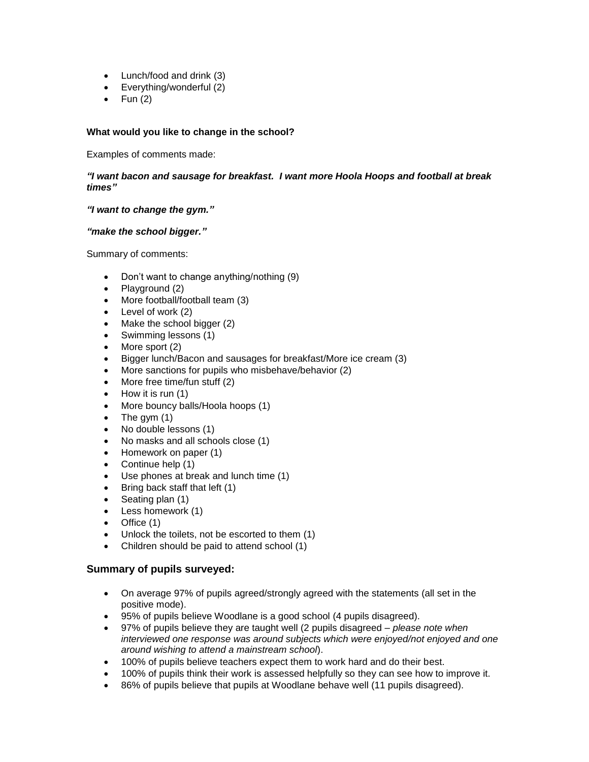- Lunch/food and drink (3)
- Everything/wonderful (2)
- $\bullet$  Fun (2)

# **What would you like to change in the school?**

Examples of comments made:

*"I want bacon and sausage for breakfast. I want more Hoola Hoops and football at break times"*

### *"I want to change the gym."*

### *"make the school bigger."*

Summary of comments:

- Don't want to change anything/nothing (9)
- Playground (2)
- More football/football team (3)
- Level of work (2)
- Make the school bigger (2)
- Swimming lessons (1)
- More sport (2)
- Bigger lunch/Bacon and sausages for breakfast/More ice cream (3)
- More sanctions for pupils who misbehave/behavior (2)
- More free time/fun stuff (2)
- How it is run (1)
- More bouncy balls/Hoola hoops (1)
- The gym (1)
- No double lessons (1)
- No masks and all schools close (1)
- Homework on paper (1)
- Continue help (1)
- Use phones at break and lunch time (1)
- Bring back staff that left (1)
- Seating plan (1)
- Less homework (1)
- Office (1)
- Unlock the toilets, not be escorted to them (1)
- Children should be paid to attend school (1)

# **Summary of pupils surveyed:**

- On average 97% of pupils agreed/strongly agreed with the statements (all set in the positive mode).
- 95% of pupils believe Woodlane is a good school (4 pupils disagreed).
- 97% of pupils believe they are taught well (2 pupils disagreed *please note when interviewed one response was around subjects which were enjoyed/not enjoyed and one around wishing to attend a mainstream school*).
- 100% of pupils believe teachers expect them to work hard and do their best.
- 100% of pupils think their work is assessed helpfully so they can see how to improve it.
- 86% of pupils believe that pupils at Woodlane behave well (11 pupils disagreed).